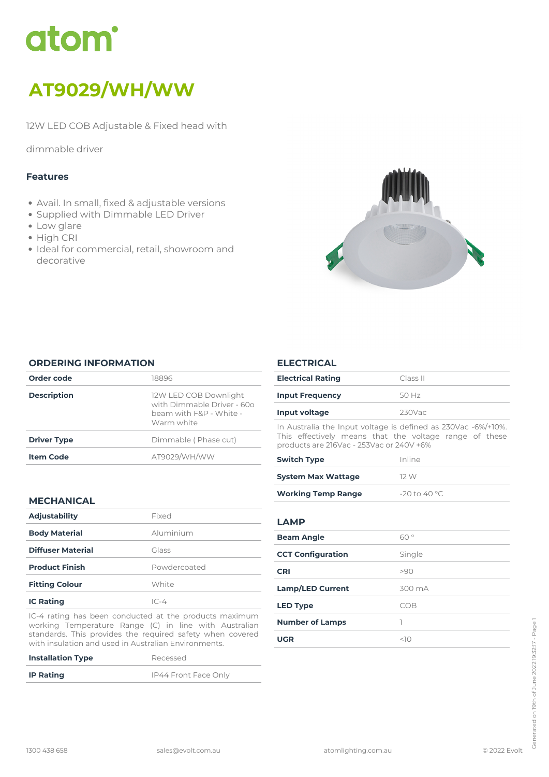# atom<sup>\*</sup>

# *AT9029/WH/WW*

*12W LED COB Adjustable & Fixed head with*

*dimmable driver*

### *Features*

- *Avail. In small, fixed & adjustable versions*
- *Supplied with Dimmable LED Driver*
- *Low glare*
- *High CRI*
- *Ideal for commercial, retail, showroom and decorative*



#### *ORDERING INFORMATION*

| Order code         | 18896                                                                                        |
|--------------------|----------------------------------------------------------------------------------------------|
| <b>Description</b> | 12W LED COB Downlight<br>with Dimmable Driver - 600<br>beam with F&P - White -<br>Warm white |
| <b>Driver Type</b> | Dimmable (Phase cut)                                                                         |
| <b>Item Code</b>   | AT9029/WH/WW                                                                                 |
|                    |                                                                                              |

# *MECHANICAL*

| <b>Adjustability</b>     | Fixed        |
|--------------------------|--------------|
| <b>Body Material</b>     | Aluminium    |
| <b>Diffuser Material</b> | Glass        |
| <b>Product Finish</b>    | Powdercoated |
| <b>Fitting Colour</b>    | White        |
| <b>IC Rating</b>         | $IC-4$       |

*IC-4 rating has been conducted at the products maximum working Temperature Range (C) in line with Australian standards. This provides the required safety when covered with insulation and used in Australian Environments.*

| <b>Installation Type</b> | Recessed             |
|--------------------------|----------------------|
| <b>IP Rating</b>         | IP44 Front Face Only |

#### *ELECTRICAL*

| <b>Electrical Rating</b>                                                                                                                                            | Class II     |
|---------------------------------------------------------------------------------------------------------------------------------------------------------------------|--------------|
| <b>Input Frequency</b>                                                                                                                                              | 50 Hz        |
| Input voltage                                                                                                                                                       | $230$ Vac    |
| In Australia the Input voltage is defined as 230Vac -6%/+10%.<br>This effectively means that the voltage range of these<br>products are 216Vac - 253Vac or 240V +6% |              |
| Constitution of the constant                                                                                                                                        | المستقل مسال |

| <b>Switch Type</b>        | Inline          |
|---------------------------|-----------------|
| <b>System Max Wattage</b> | 12 W            |
| <b>Working Temp Range</b> | $-20$ to 40 °C. |

# *LAMP*

| <b>Beam Angle</b>        | 60°    |
|--------------------------|--------|
| <b>CCT Configuration</b> | Single |
| <b>CRI</b>               | >90    |
| <b>Lamp/LED Current</b>  | 300 mA |
| <b>LED Type</b>          | COB    |
| <b>Number of Lamps</b>   |        |
| <b>UGR</b>               | <10    |
|                          |        |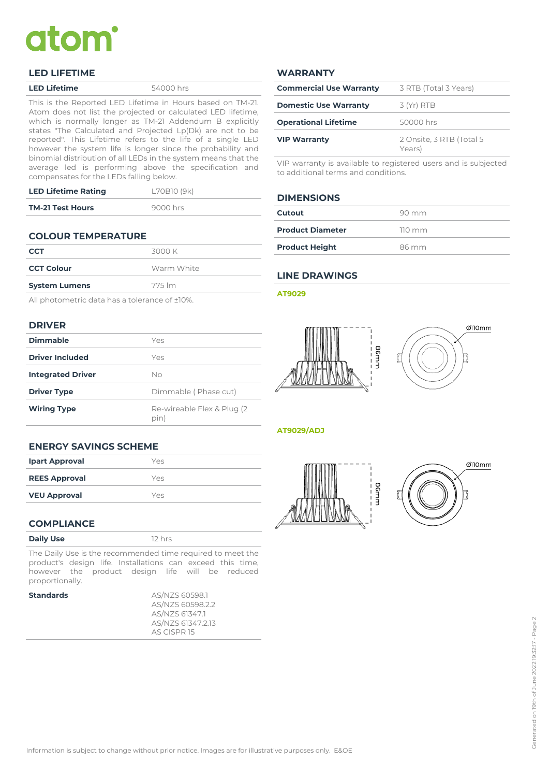# atom

#### *LED LIFETIME*

*This is the Reported LED Lifetime in Hours based on TM-21. Atom does not list the projected or calculated LED lifetime, which is normally longer as TM-21 Addendum B explicitly states "The Calculated and Projected Lp(Dk) are not to be reported". This Lifetime refers to the life of a single LED however the system life is longer since the probability and binomial distribution of all LEDs in the system means that the average led is performing above the specification and compensates for the LEDs falling below.*

| <b>LED Lifetime Rating</b> | L70B10 (9k) |
|----------------------------|-------------|
| <b>TM-21 Test Hours</b>    | 9000 hrs    |

# *COLOUR TEMPERATURE*

| <b>CCT</b>           | 3000 K     |
|----------------------|------------|
| <b>CCT Colour</b>    | Warm White |
| <b>System Lumens</b> | 775 lm     |
|                      |            |

*All photometric data has a tolerance of ±10%.*

#### *DRIVER*

| <b>Dimmable</b>          | Yes                                 |
|--------------------------|-------------------------------------|
| <b>Driver Included</b>   | Yes                                 |
| <b>Integrated Driver</b> | Nο                                  |
| <b>Driver Type</b>       | Dimmable (Phase cut)                |
| <b>Wiring Type</b>       | Re-wireable Flex & Plug (2)<br>pin) |

#### *WARRANTY*

| <b>Commercial Use Warranty</b> | 3 RTB (Total 3 Years)              |
|--------------------------------|------------------------------------|
| <b>Domestic Use Warranty</b>   | $3 (Yr)$ RTB                       |
| <b>Operational Lifetime</b>    | 50000 hrs                          |
| <b>VIP Warranty</b>            | 2 Onsite, 3 RTB (Total 5<br>Years) |

*VIP warranty is available to registered users and is subjected to additional terms and conditions.*

#### *DIMENSIONS*

| Cutout                  | 90 mm            |
|-------------------------|------------------|
| <b>Product Diameter</b> | $110 \text{ mm}$ |
| <b>Product Height</b>   | 86 mm            |

### *LINE DRAWINGS*

#### *AT9029*





#### *AT9029/ADJ*





# *ENERGY SAVINGS SCHEME*

| <b>Ipart Approval</b> | Yes |
|-----------------------|-----|
| <b>REES Approval</b>  | Yes |
| <b>VEU Approval</b>   | Yes |

#### *COMPLIANCE*

| <b>Daily Use</b> |  |
|------------------|--|
|------------------|--|

*The Daily Use is the recommended time required to meet the product's design life. Installations can exceed this time, however the product design life will be reduced proportionally.*

*Daily Use 12 hrs*

|  | Standard |  |
|--|----------|--|
|  |          |  |

*Standards AS/NZS 60598.1 AS/NZS 60598.2.2 AS/NZS 61347.1 AS/NZS 61347.2.13 AS CISPR 15*